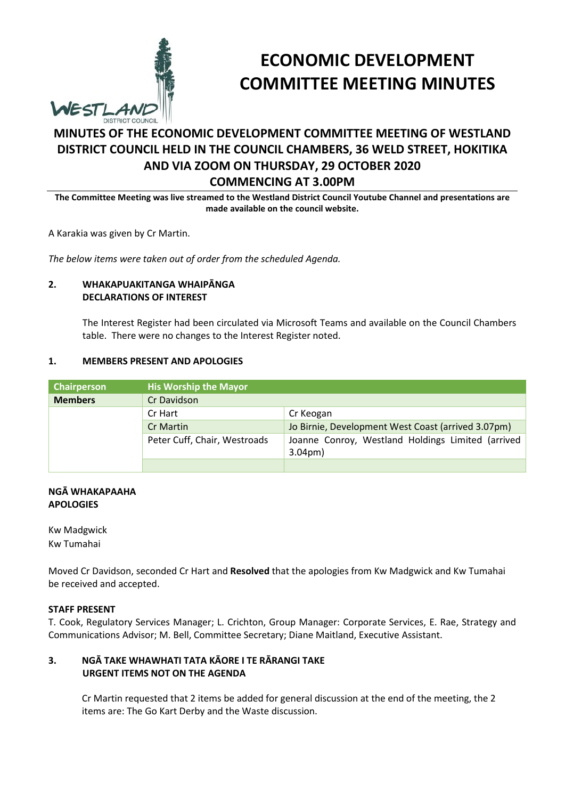

# **ECONOMIC DEVELOPMENT COMMITTEE MEETING MINUTES**

# **MINUTES OF THE ECONOMIC DEVELOPMENT COMMITTEE MEETING OF WESTLAND DISTRICT COUNCIL HELD IN THE COUNCIL CHAMBERS, 36 WELD STREET, HOKITIKA AND VIA ZOOM ON THURSDAY, 29 OCTOBER 2020 COMMENCING AT 3.00PM**

**The Committee Meeting was live streamed to the Westland District Council Youtube Channel and presentations are made available on the council website.** 

A Karakia was given by Cr Martin.

*The below items were taken out of order from the scheduled Agenda.* 

# **2. WHAKAPUAKITANGA WHAIPĀNGA DECLARATIONS OF INTEREST**

The Interest Register had been circulated via Microsoft Teams and available on the Council Chambers table. There were no changes to the Interest Register noted.

# **1. MEMBERS PRESENT AND APOLOGIES**

| Chairperson    | <b>His Worship the Mayor</b> |                                                                         |
|----------------|------------------------------|-------------------------------------------------------------------------|
| <b>Members</b> | Cr Davidson                  |                                                                         |
|                | Cr Hart                      | Cr Keogan                                                               |
|                | Cr Martin                    | Jo Birnie, Development West Coast (arrived 3.07pm)                      |
|                | Peter Cuff, Chair, Westroads | Joanne Conroy, Westland Holdings Limited (arrived<br>3.04 <sub>pm</sub> |
|                |                              |                                                                         |

# **NGĀ WHAKAPAAHA APOLOGIES**

Kw Madgwick Kw Tumahai

Moved Cr Davidson, seconded Cr Hart and **Resolved** that the apologies from Kw Madgwick and Kw Tumahai be received and accepted.

# **STAFF PRESENT**

T. Cook, Regulatory Services Manager; L. Crichton, Group Manager: Corporate Services, E. Rae, Strategy and Communications Advisor; M. Bell, Committee Secretary; Diane Maitland, Executive Assistant.

# **3. NGĀ TAKE WHAWHATI TATA KĀORE I TE RĀRANGI TAKE URGENT ITEMS NOT ON THE AGENDA**

Cr Martin requested that 2 items be added for general discussion at the end of the meeting, the 2 items are: The Go Kart Derby and the Waste discussion.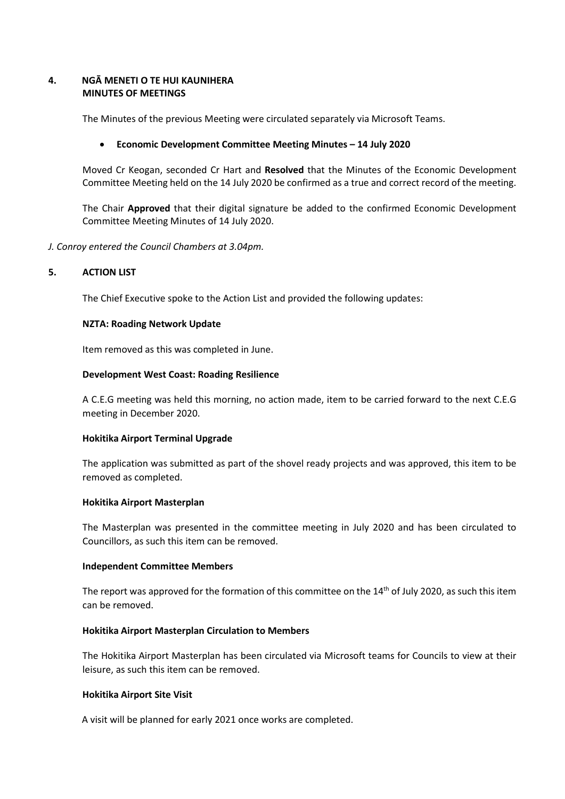# **4. NGĀ MENETI O TE HUI KAUNIHERA MINUTES OF MEETINGS**

The Minutes of the previous Meeting were circulated separately via Microsoft Teams.

# **Economic Development Committee Meeting Minutes – 14 July 2020**

Moved Cr Keogan, seconded Cr Hart and **Resolved** that the Minutes of the Economic Development Committee Meeting held on the 14 July 2020 be confirmed as a true and correct record of the meeting.

The Chair **Approved** that their digital signature be added to the confirmed Economic Development Committee Meeting Minutes of 14 July 2020.

*J. Conroy entered the Council Chambers at 3.04pm.* 

#### **5. ACTION LIST**

The Chief Executive spoke to the Action List and provided the following updates:

#### **NZTA: Roading Network Update**

Item removed as this was completed in June.

#### **Development West Coast: Roading Resilience**

A C.E.G meeting was held this morning, no action made, item to be carried forward to the next C.E.G meeting in December 2020.

#### **Hokitika Airport Terminal Upgrade**

The application was submitted as part of the shovel ready projects and was approved, this item to be removed as completed.

#### **Hokitika Airport Masterplan**

The Masterplan was presented in the committee meeting in July 2020 and has been circulated to Councillors, as such this item can be removed.

#### **Independent Committee Members**

The report was approved for the formation of this committee on the  $14<sup>th</sup>$  of July 2020, as such this item can be removed.

# **Hokitika Airport Masterplan Circulation to Members**

The Hokitika Airport Masterplan has been circulated via Microsoft teams for Councils to view at their leisure, as such this item can be removed.

#### **Hokitika Airport Site Visit**

A visit will be planned for early 2021 once works are completed.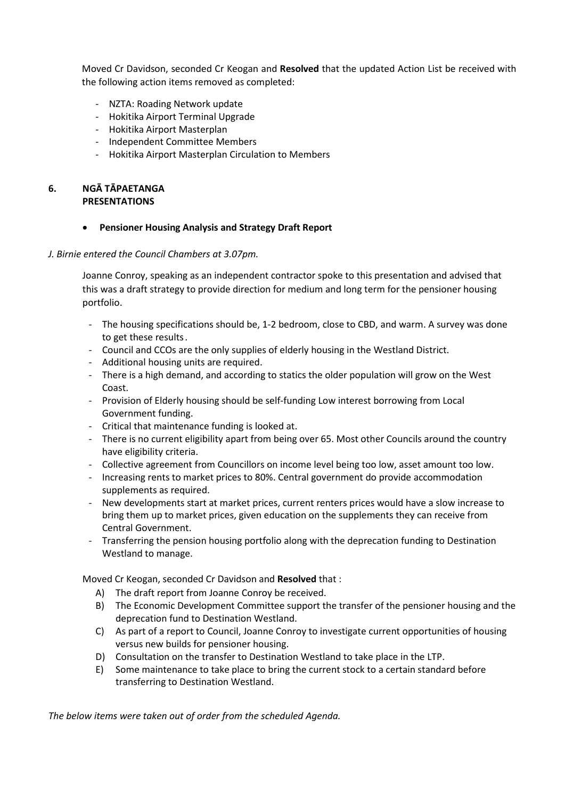Moved Cr Davidson, seconded Cr Keogan and **Resolved** that the updated Action List be received with the following action items removed as completed:

- NZTA: Roading Network update
- Hokitika Airport Terminal Upgrade
- Hokitika Airport Masterplan
- Independent Committee Members
- Hokitika Airport Masterplan Circulation to Members

# **6. NGĀ TĀPAETANGA PRESENTATIONS**

# **Pensioner Housing Analysis and Strategy Draft Report**

#### *J. Birnie entered the Council Chambers at 3.07pm.*

Joanne Conroy, speaking as an independent contractor spoke to this presentation and advised that this was a draft strategy to provide direction for medium and long term for the pensioner housing portfolio.

- The housing specifications should be, 1-2 bedroom, close to CBD, and warm. A survey was done to get these results .
- Council and CCOs are the only supplies of elderly housing in the Westland District.
- Additional housing units are required.
- There is a high demand, and according to statics the older population will grow on the West Coast.
- Provision of Elderly housing should be self-funding Low interest borrowing from Local Government funding.
- Critical that maintenance funding is looked at.
- There is no current eligibility apart from being over 65. Most other Councils around the country have eligibility criteria.
- Collective agreement from Councillors on income level being too low, asset amount too low.
- Increasing rents to market prices to 80%. Central government do provide accommodation supplements as required.
- New developments start at market prices, current renters prices would have a slow increase to bring them up to market prices, given education on the supplements they can receive from Central Government.
- Transferring the pension housing portfolio along with the deprecation funding to Destination Westland to manage.

Moved Cr Keogan, seconded Cr Davidson and **Resolved** that :

- A) The draft report from Joanne Conroy be received.
- B) The Economic Development Committee support the transfer of the pensioner housing and the deprecation fund to Destination Westland.
- C) As part of a report to Council, Joanne Conroy to investigate current opportunities of housing versus new builds for pensioner housing.
- D) Consultation on the transfer to Destination Westland to take place in the LTP.
- E) Some maintenance to take place to bring the current stock to a certain standard before transferring to Destination Westland.

*The below items were taken out of order from the scheduled Agenda.*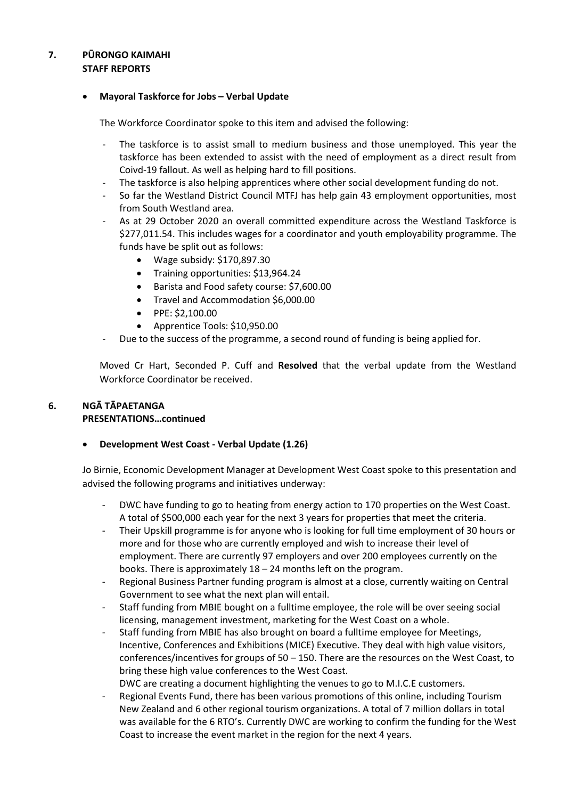# **7. PŪRONGO KAIMAHI STAFF REPORTS**

# **Mayoral Taskforce for Jobs – Verbal Update**

The Workforce Coordinator spoke to this item and advised the following:

- The taskforce is to assist small to medium business and those unemployed. This year the taskforce has been extended to assist with the need of employment as a direct result from Coivd-19 fallout. As well as helping hard to fill positions.
- The taskforce is also helping apprentices where other social development funding do not.
- So far the Westland District Council MTFJ has help gain 43 employment opportunities, most from South Westland area.
- As at 29 October 2020 an overall committed expenditure across the Westland Taskforce is \$277,011.54. This includes wages for a coordinator and youth employability programme. The funds have be split out as follows:
	- Wage subsidy: \$170,897.30
	- Training opportunities: \$13,964.24
	- Barista and Food safety course: \$7,600.00
	- Travel and Accommodation \$6,000.00
	- PPE: \$2,100.00
	- Apprentice Tools: \$10,950.00
- Due to the success of the programme, a second round of funding is being applied for.

Moved Cr Hart, Seconded P. Cuff and **Resolved** that the verbal update from the Westland Workforce Coordinator be received.

# **6. NGĀ TĀPAETANGA**

# **PRESENTATIONS…continued**

**Development West Coast - Verbal Update (1.26)** 

Jo Birnie, Economic Development Manager at Development West Coast spoke to this presentation and advised the following programs and initiatives underway:

- DWC have funding to go to heating from energy action to 170 properties on the West Coast. A total of \$500,000 each year for the next 3 years for properties that meet the criteria.
- Their Upskill programme is for anyone who is looking for full time employment of 30 hours or more and for those who are currently employed and wish to increase their level of employment. There are currently 97 employers and over 200 employees currently on the books. There is approximately 18 – 24 months left on the program.
- Regional Business Partner funding program is almost at a close, currently waiting on Central Government to see what the next plan will entail.
- Staff funding from MBIE bought on a fulltime employee, the role will be over seeing social licensing, management investment, marketing for the West Coast on a whole.
- Staff funding from MBIE has also brought on board a fulltime employee for Meetings, Incentive, Conferences and Exhibitions (MICE) Executive. They deal with high value visitors, conferences/incentives for groups of 50 – 150. There are the resources on the West Coast, to bring these high value conferences to the West Coast.

DWC are creating a document highlighting the venues to go to M.I.C.E customers.

Regional Events Fund, there has been various promotions of this online, including Tourism New Zealand and 6 other regional tourism organizations. A total of 7 million dollars in total was available for the 6 RTO's. Currently DWC are working to confirm the funding for the West Coast to increase the event market in the region for the next 4 years.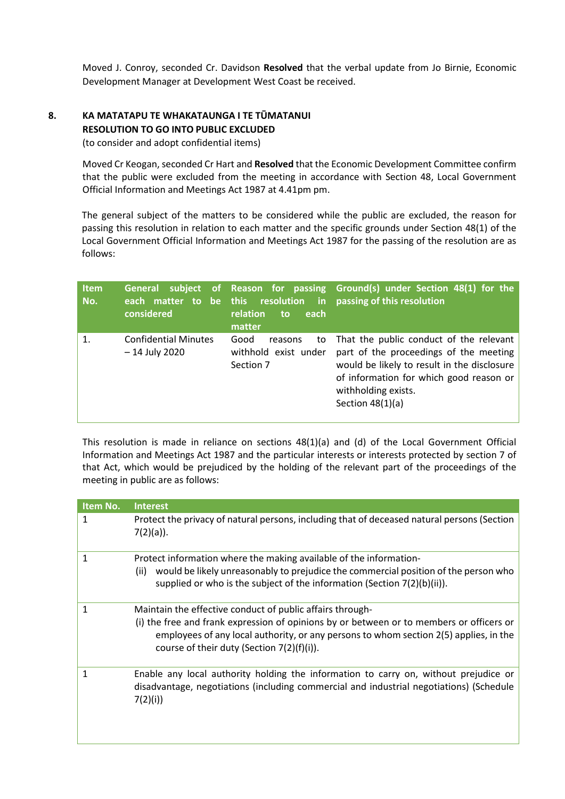Moved J. Conroy, seconded Cr. Davidson **Resolved** that the verbal update from Jo Birnie, Economic Development Manager at Development West Coast be received.

# **8. KA MATATAPU TE WHAKATAUNGA I TE TŪMATANUI RESOLUTION TO GO INTO PUBLIC EXCLUDED**

(to consider and adopt confidential items)

 Moved Cr Keogan, seconded Cr Hart and **Resolved** that the Economic Development Committee confirm that the public were excluded from the meeting in accordance with Section 48, Local Government Official Information and Meetings Act 1987 at 4.41pm pm.

The general subject of the matters to be considered while the public are excluded, the reason for passing this resolution in relation to each matter and the specific grounds under Section 48(1) of the Local Government Official Information and Meetings Act 1987 for the passing of the resolution are as follows:

| <b>Item</b><br>No. | <b>General</b><br>considered                   | relation<br>each<br>to<br>matter                           | subject of Reason for passing Ground(s) under Section 48(1) for the<br>each matter to be this resolution in passing of this resolution                                                                                   |
|--------------------|------------------------------------------------|------------------------------------------------------------|--------------------------------------------------------------------------------------------------------------------------------------------------------------------------------------------------------------------------|
| 1.                 | <b>Confidential Minutes</b><br>$-14$ July 2020 | Good<br>to<br>reasons<br>withhold exist under<br>Section 7 | That the public conduct of the relevant<br>part of the proceedings of the meeting<br>would be likely to result in the disclosure<br>of information for which good reason or<br>withholding exists.<br>Section $48(1)(a)$ |

This resolution is made in reliance on sections 48(1)(a) and (d) of the Local Government Official Information and Meetings Act 1987 and the particular interests or interests protected by section 7 of that Act, which would be prejudiced by the holding of the relevant part of the proceedings of the meeting in public are as follows:

| Item No. | <b>Interest</b>                                                                                                                                                                                                                                                                              |
|----------|----------------------------------------------------------------------------------------------------------------------------------------------------------------------------------------------------------------------------------------------------------------------------------------------|
| 1        | Protect the privacy of natural persons, including that of deceased natural persons (Section<br>$7(2)(a)$ ).                                                                                                                                                                                  |
| 1        | Protect information where the making available of the information-<br>would be likely unreasonably to prejudice the commercial position of the person who<br>(ii)<br>supplied or who is the subject of the information (Section $7(2)(b)(ii)$ ).                                             |
| 1        | Maintain the effective conduct of public affairs through-<br>(i) the free and frank expression of opinions by or between or to members or officers or<br>employees of any local authority, or any persons to whom section 2(5) applies, in the<br>course of their duty (Section 7(2)(f)(i)). |
| 1        | Enable any local authority holding the information to carry on, without prejudice or<br>disadvantage, negotiations (including commercial and industrial negotiations) (Schedule<br>7(2)(i)                                                                                                   |